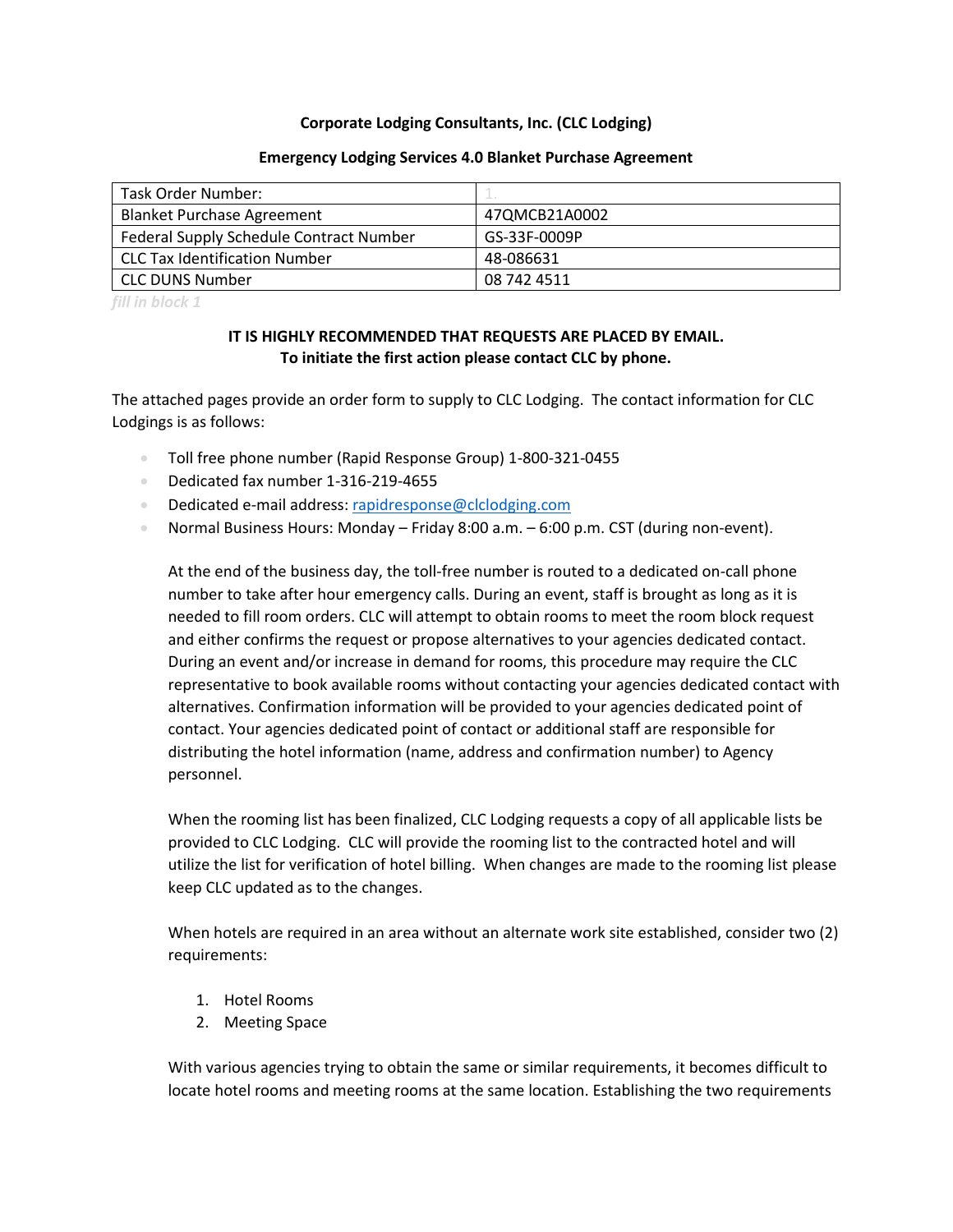### **Corporate Lodging Consultants, Inc. (CLC Lodging)**

#### **Emergency Lodging Services 4.0 Blanket Purchase Agreement**

| Task Order Number:                      | $-1 - 1$      |
|-----------------------------------------|---------------|
| <b>Blanket Purchase Agreement</b>       | 47QMCB21A0002 |
| Federal Supply Schedule Contract Number | GS-33F-0009P  |
| CLC Tax Identification Number           | 48-086631     |
| <b>CLC DUNS Number</b>                  | 08 742 4511   |

*fill in block 1*

## **IT IS HIGHLY RECOMMENDED THAT REQUESTS ARE PLACED BY EMAIL. To initiate the first action please contact CLC by phone.**

The attached pages provide an order form to supply to CLC Lodging. The contact information for CLC Lodgings is as follows:

- Toll free phone number (Rapid Response Group) 1-800-321-0455
- Dedicated fax number 1-316-219-4655
- Dedicated e-mail address[: rapidresponse@clclodging.com](mailto:rapidresponse@clclodging.com)
- Normal Business Hours: Monday Friday 8:00 a.m. 6:00 p.m. CST (during non-event).

At the end of the business day, the toll-free number is routed to a dedicated on-call phone number to take after hour emergency calls. During an event, staff is brought as long as it is needed to fill room orders. CLC will attempt to obtain rooms to meet the room block request and either confirms the request or propose alternatives to your agencies dedicated contact. During an event and/or increase in demand for rooms, this procedure may require the CLC representative to book available rooms without contacting your agencies dedicated contact with alternatives. Confirmation information will be provided to your agencies dedicated point of contact. Your agencies dedicated point of contact or additional staff are responsible for distributing the hotel information (name, address and confirmation number) to Agency personnel.

When the rooming list has been finalized, CLC Lodging requests a copy of all applicable lists be provided to CLC Lodging. CLC will provide the rooming list to the contracted hotel and will utilize the list for verification of hotel billing. When changes are made to the rooming list please keep CLC updated as to the changes.

When hotels are required in an area without an alternate work site established, consider two (2) requirements:

- 1. Hotel Rooms
- 2. Meeting Space

With various agencies trying to obtain the same or similar requirements, it becomes difficult to locate hotel rooms and meeting rooms at the same location. Establishing the two requirements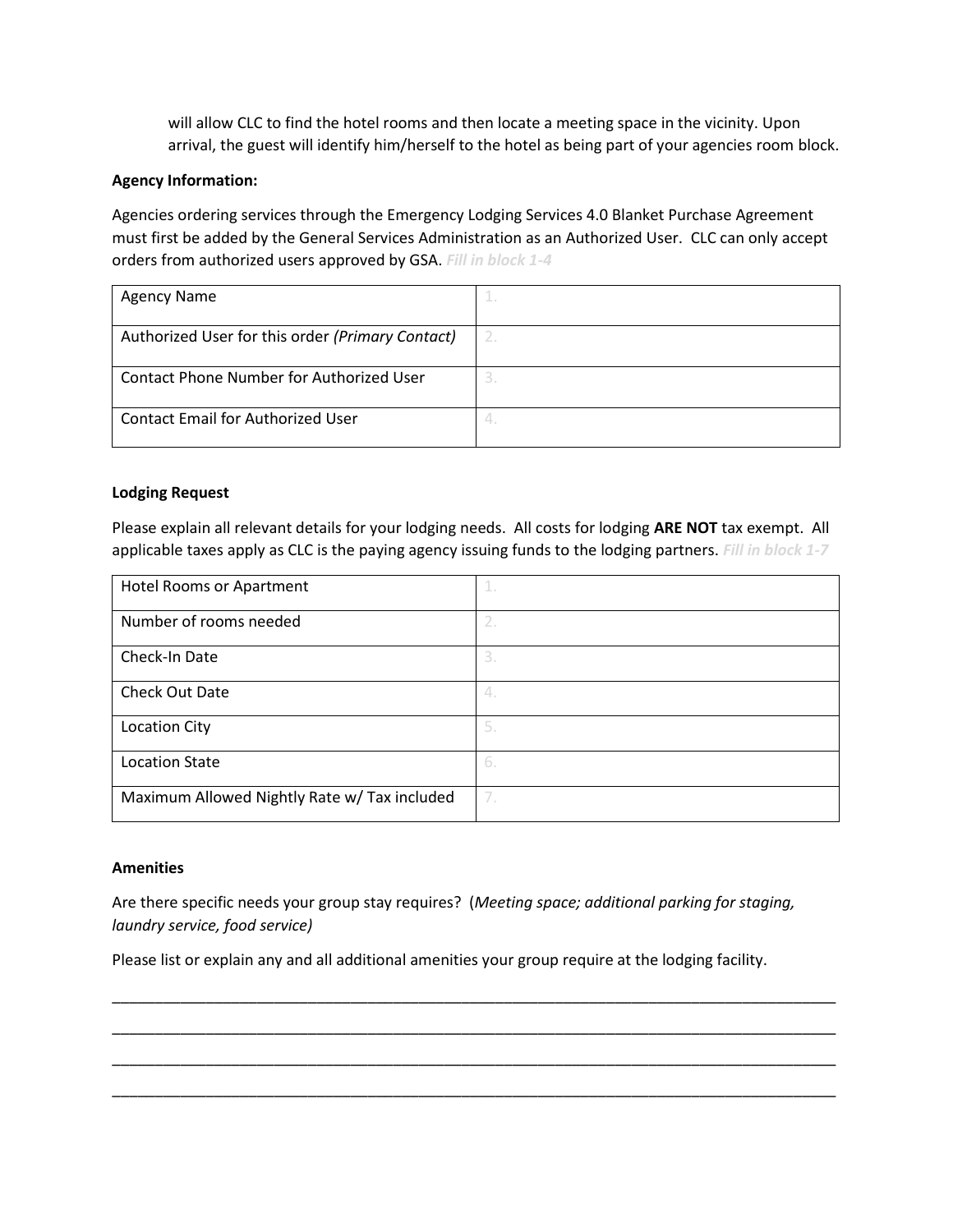will allow CLC to find the hotel rooms and then locate a meeting space in the vicinity. Upon arrival, the guest will identify him/herself to the hotel as being part of your agencies room block.

## **Agency Information:**

Agencies ordering services through the Emergency Lodging Services 4.0 Blanket Purchase Agreement must first be added by the General Services Administration as an Authorized User. CLC can only accept orders from authorized users approved by GSA. *Fill in block 1-4*

| <b>Agency Name</b>                               |  |
|--------------------------------------------------|--|
| Authorized User for this order (Primary Contact) |  |
|                                                  |  |
| Contact Phone Number for Authorized User         |  |
| <b>Contact Email for Authorized User</b>         |  |

## **Lodging Request**

Please explain all relevant details for your lodging needs. All costs for lodging **ARE NOT** tax exempt. All applicable taxes apply as CLC is the paying agency issuing funds to the lodging partners. *Fill in block 1-7*

| Hotel Rooms or Apartment                     | 1.  |
|----------------------------------------------|-----|
| Number of rooms needed                       | 2.  |
| Check-In Date                                | 3.  |
| Check Out Date                               | 4.  |
| <b>Location City</b>                         | 5.  |
| <b>Location State</b>                        | -6. |
| Maximum Allowed Nightly Rate w/ Tax included | 7.  |

### **Amenities**

Are there specific needs your group stay requires? (*Meeting space; additional parking for staging, laundry service, food service)* 

\_\_\_\_\_\_\_\_\_\_\_\_\_\_\_\_\_\_\_\_\_\_\_\_\_\_\_\_\_\_\_\_\_\_\_\_\_\_\_\_\_\_\_\_\_\_\_\_\_\_\_\_\_\_\_\_\_\_\_\_\_\_\_\_\_\_\_\_\_\_\_\_\_\_\_\_\_\_\_\_\_\_\_\_\_

\_\_\_\_\_\_\_\_\_\_\_\_\_\_\_\_\_\_\_\_\_\_\_\_\_\_\_\_\_\_\_\_\_\_\_\_\_\_\_\_\_\_\_\_\_\_\_\_\_\_\_\_\_\_\_\_\_\_\_\_\_\_\_\_\_\_\_\_\_\_\_\_\_\_\_\_\_\_\_\_\_\_\_\_\_

\_\_\_\_\_\_\_\_\_\_\_\_\_\_\_\_\_\_\_\_\_\_\_\_\_\_\_\_\_\_\_\_\_\_\_\_\_\_\_\_\_\_\_\_\_\_\_\_\_\_\_\_\_\_\_\_\_\_\_\_\_\_\_\_\_\_\_\_\_\_\_\_\_\_\_\_\_\_\_\_\_\_\_\_\_

\_\_\_\_\_\_\_\_\_\_\_\_\_\_\_\_\_\_\_\_\_\_\_\_\_\_\_\_\_\_\_\_\_\_\_\_\_\_\_\_\_\_\_\_\_\_\_\_\_\_\_\_\_\_\_\_\_\_\_\_\_\_\_\_\_\_\_\_\_\_\_\_\_\_\_\_\_\_\_\_\_\_\_\_\_

Please list or explain any and all additional amenities your group require at the lodging facility.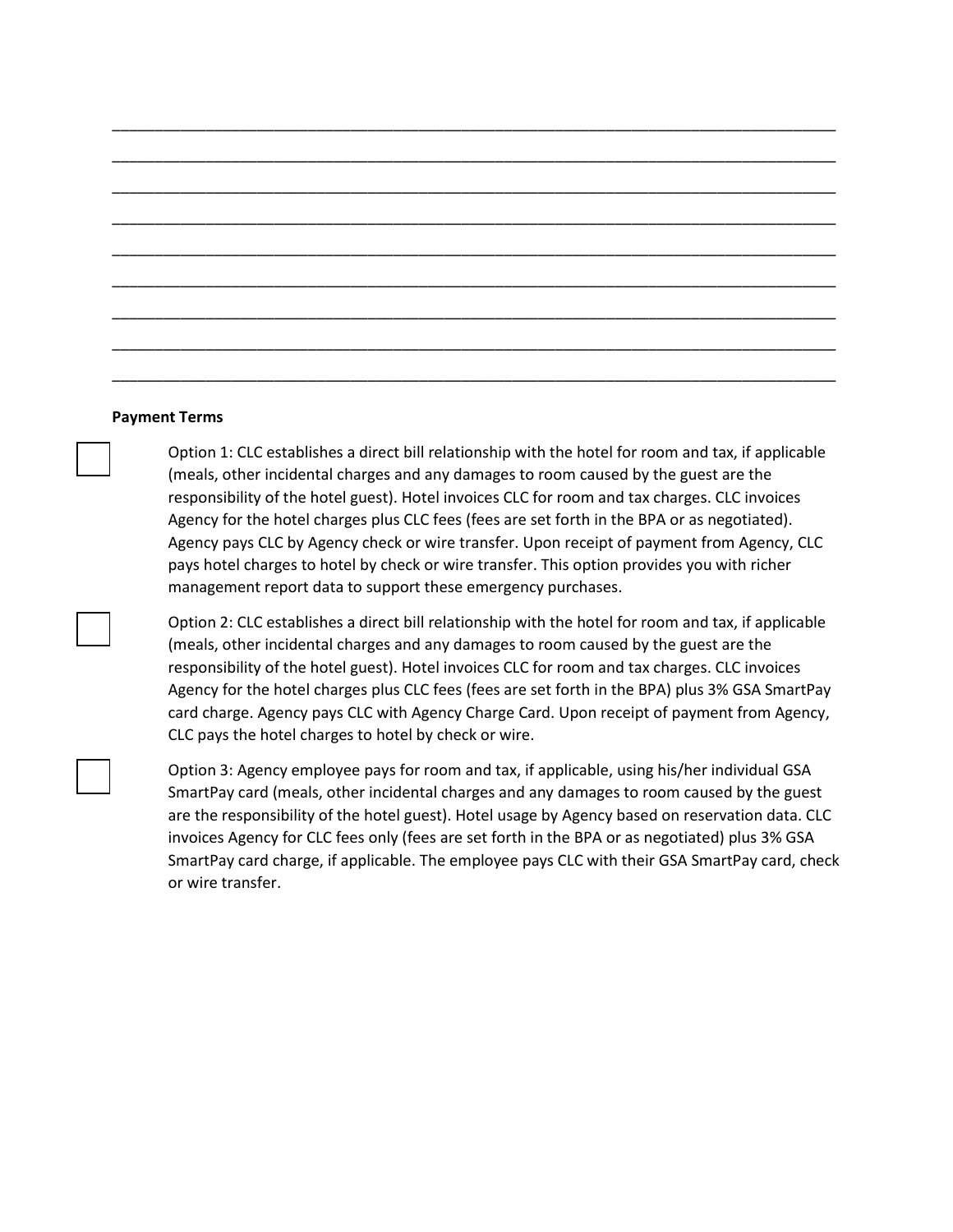#### **Payment Terms**

Option 1: CLC establishes a direct bill relationship with the hotel for room and tax, if applicable (meals, other incidental charges and any damages to room caused by the guest are the responsibility of the hotel guest). Hotel invoices CLC for room and tax charges. CLC invoices Agency for the hotel charges plus CLC fees (fees are set forth in the BPA or as negotiated). Agency pays CLC by Agency check or wire transfer. Upon receipt of payment from Agency, CLC pays hotel charges to hotel by check or wire transfer. This option provides you with richer management report data to support these emergency purchases.

\_\_\_\_\_\_\_\_\_\_\_\_\_\_\_\_\_\_\_\_\_\_\_\_\_\_\_\_\_\_\_\_\_\_\_\_\_\_\_\_\_\_\_\_\_\_\_\_\_\_\_\_\_\_\_\_\_\_\_\_\_\_\_\_\_\_\_\_\_\_\_\_\_\_\_\_\_\_\_\_\_\_\_\_\_

\_\_\_\_\_\_\_\_\_\_\_\_\_\_\_\_\_\_\_\_\_\_\_\_\_\_\_\_\_\_\_\_\_\_\_\_\_\_\_\_\_\_\_\_\_\_\_\_\_\_\_\_\_\_\_\_\_\_\_\_\_\_\_\_\_\_\_\_\_\_\_\_\_\_\_\_\_\_\_\_\_\_\_\_\_

\_\_\_\_\_\_\_\_\_\_\_\_\_\_\_\_\_\_\_\_\_\_\_\_\_\_\_\_\_\_\_\_\_\_\_\_\_\_\_\_\_\_\_\_\_\_\_\_\_\_\_\_\_\_\_\_\_\_\_\_\_\_\_\_\_\_\_\_\_\_\_\_\_\_\_\_\_\_\_\_\_\_\_\_\_

\_\_\_\_\_\_\_\_\_\_\_\_\_\_\_\_\_\_\_\_\_\_\_\_\_\_\_\_\_\_\_\_\_\_\_\_\_\_\_\_\_\_\_\_\_\_\_\_\_\_\_\_\_\_\_\_\_\_\_\_\_\_\_\_\_\_\_\_\_\_\_\_\_\_\_\_\_\_\_\_\_\_\_\_\_

\_\_\_\_\_\_\_\_\_\_\_\_\_\_\_\_\_\_\_\_\_\_\_\_\_\_\_\_\_\_\_\_\_\_\_\_\_\_\_\_\_\_\_\_\_\_\_\_\_\_\_\_\_\_\_\_\_\_\_\_\_\_\_\_\_\_\_\_\_\_\_\_\_\_\_\_\_\_\_\_\_\_\_\_\_

\_\_\_\_\_\_\_\_\_\_\_\_\_\_\_\_\_\_\_\_\_\_\_\_\_\_\_\_\_\_\_\_\_\_\_\_\_\_\_\_\_\_\_\_\_\_\_\_\_\_\_\_\_\_\_\_\_\_\_\_\_\_\_\_\_\_\_\_\_\_\_\_\_\_\_\_\_\_\_\_\_\_\_\_\_

\_\_\_\_\_\_\_\_\_\_\_\_\_\_\_\_\_\_\_\_\_\_\_\_\_\_\_\_\_\_\_\_\_\_\_\_\_\_\_\_\_\_\_\_\_\_\_\_\_\_\_\_\_\_\_\_\_\_\_\_\_\_\_\_\_\_\_\_\_\_\_\_\_\_\_\_\_\_\_\_\_\_\_\_\_

\_\_\_\_\_\_\_\_\_\_\_\_\_\_\_\_\_\_\_\_\_\_\_\_\_\_\_\_\_\_\_\_\_\_\_\_\_\_\_\_\_\_\_\_\_\_\_\_\_\_\_\_\_\_\_\_\_\_\_\_\_\_\_\_\_\_\_\_\_\_\_\_\_\_\_\_\_\_\_\_\_\_\_\_\_

\_\_\_\_\_\_\_\_\_\_\_\_\_\_\_\_\_\_\_\_\_\_\_\_\_\_\_\_\_\_\_\_\_\_\_\_\_\_\_\_\_\_\_\_\_\_\_\_\_\_\_\_\_\_\_\_\_\_\_\_\_\_\_\_\_\_\_\_\_\_\_\_\_\_\_\_\_\_\_\_\_\_\_\_\_

Option 2: CLC establishes a direct bill relationship with the hotel for room and tax, if applicable (meals, other incidental charges and any damages to room caused by the guest are the responsibility of the hotel guest). Hotel invoices CLC for room and tax charges. CLC invoices Agency for the hotel charges plus CLC fees (fees are set forth in the BPA) plus 3% GSA SmartPay card charge. Agency pays CLC with Agency Charge Card. Upon receipt of payment from Agency, CLC pays the hotel charges to hotel by check or wire.

Option 3: Agency employee pays for room and tax, if applicable, using his/her individual GSA SmartPay card (meals, other incidental charges and any damages to room caused by the guest are the responsibility of the hotel guest). Hotel usage by Agency based on reservation data. CLC invoices Agency for CLC fees only (fees are set forth in the BPA or as negotiated) plus 3% GSA SmartPay card charge, if applicable. The employee pays CLC with their GSA SmartPay card, check or wire transfer.